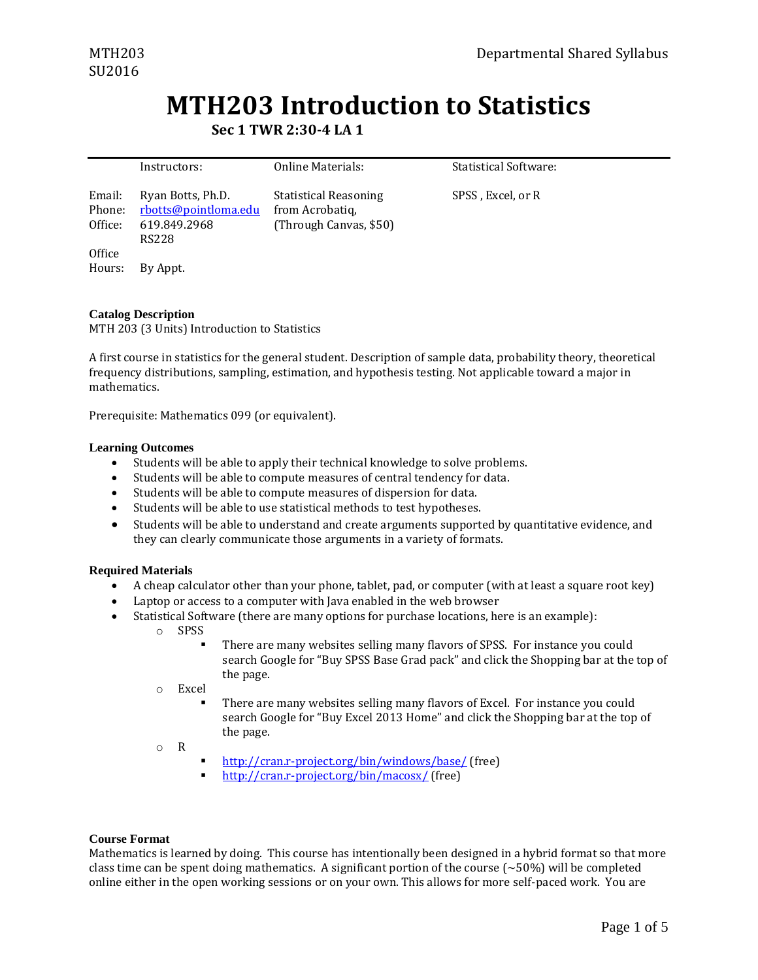# **MTH203 Introduction to Statistics**

**Sec 1 TWR 2:30-4 LA 1**

|                             | Instructors:                                                       | Online Materials:                                                         | <b>Statistical Software:</b> |
|-----------------------------|--------------------------------------------------------------------|---------------------------------------------------------------------------|------------------------------|
| Email:<br>Phone:<br>Office: | Ryan Botts, Ph.D.<br>rbotts@pointloma.edu<br>619.849.2968<br>RS228 | <b>Statistical Reasoning</b><br>from Acrobatiq,<br>(Through Canvas, \$50) | SPSS, Excel, or R            |
| Office                      |                                                                    |                                                                           |                              |
| Hours:                      | By Appt.                                                           |                                                                           |                              |

# **Catalog Description**

MTH 203 (3 Units) Introduction to Statistics

A first course in statistics for the general student. Description of sample data, probability theory, theoretical frequency distributions, sampling, estimation, and hypothesis testing. Not applicable toward a major in mathematics.

Prerequisite: Mathematics 099 (or equivalent).

#### **Learning Outcomes**

- Students will be able to apply their technical knowledge to solve problems.
- Students will be able to compute measures of central tendency for data.
- Students will be able to compute measures of dispersion for data.
- Students will be able to use statistical methods to test hypotheses.
- Students will be able to understand and create arguments supported by quantitative evidence, and they can clearly communicate those arguments in a variety of formats.

# **Required Materials**

- A cheap calculator other than your phone, tablet, pad, or computer (with at least a square root key)
- Laptop or access to a computer with Java enabled in the web browser
- Statistical Software (there are many options for purchase locations, here is an example):
	- o SPSS

 There are many websites selling many flavors of SPSS. For instance you could search Google for "Buy SPSS Base Grad pack" and click the Shopping bar at the top of the page.

- o Excel
	- There are many websites selling many flavors of Excel. For instance you could search Google for "Buy Excel 2013 Home" and click the Shopping bar at the top of the page.

o R

- <http://cran.r-project.org/bin/windows/base/> (free)
- <http://cran.r-project.org/bin/macosx/> (free)

#### **Course Format**

Mathematics is learned by doing. This course has intentionally been designed in a hybrid format so that more class time can be spent doing mathematics. A significant portion of the course  $({\sim}50\%)$  will be completed online either in the open working sessions or on your own. This allows for more self-paced work. You are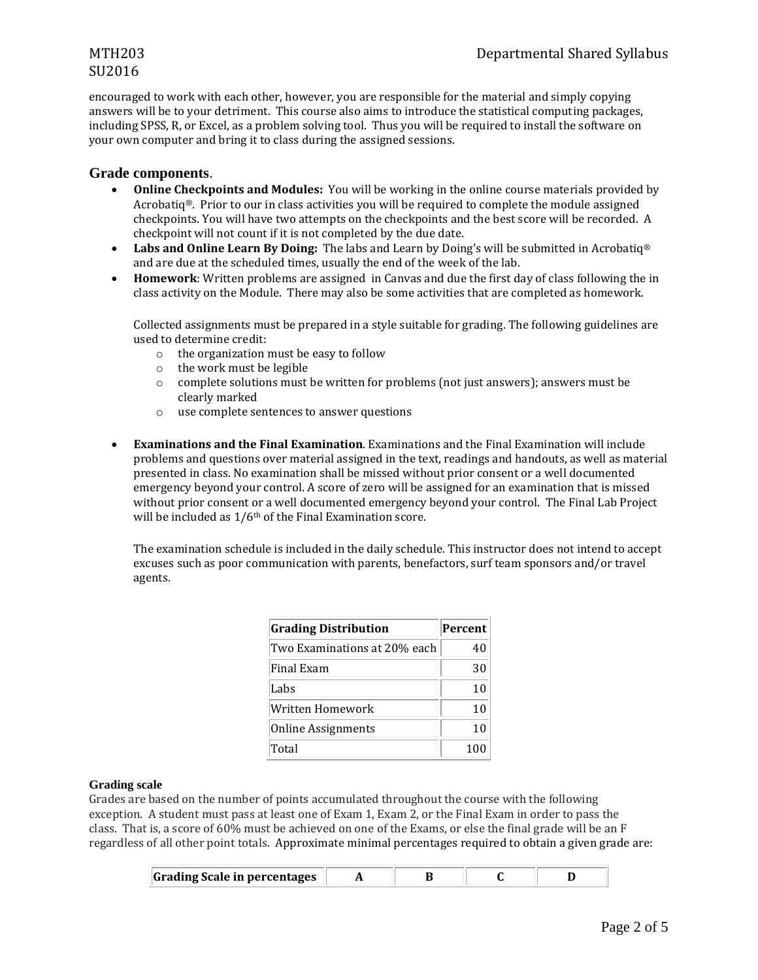# SU2016

encouraged to work with each other, however, you are responsible for the material and simply copying answers will be to your detriment. This course also aims to introduce the statistical computing packages, including SPSS, R, or Excel, as a problem solving tool. Thus you will be required to install the software on your own computer and bring it to class during the assigned sessions.

# **Grade components**.

- **Online Checkpoints and Modules:** You will be working in the online course materials provided by Acrobatiq®. Prior to our in class activities you will be required to complete the module assigned checkpoints. You will have two attempts on the checkpoints and the best score will be recorded. A checkpoint will not count if it is not completed by the due date.
- **Labs and Online Learn By Doing:** The labs and Learn by Doing's will be submitted in Acrobatiq® and are due at the scheduled times, usually the end of the week of the lab.
- **Homework**: Written problems are assigned in Canvas and due the first day of class following the in class activity on the Module. There may also be some activities that are completed as homework.

Collected assignments must be prepared in a style suitable for grading. The following guidelines are used to determine credit:

- o the organization must be easy to follow
- o the work must be legible
- o complete solutions must be written for problems (not just answers); answers must be clearly marked
- o use complete sentences to answer questions
- **Examinations and the Final Examination**. Examinations and the Final Examination will include problems and questions over material assigned in the text, readings and handouts, as well as material presented in class. No examination shall be missed without prior consent or a well documented emergency beyond your control. A score of zero will be assigned for an examination that is missed without prior consent or a well documented emergency beyond your control. The Final Lab Project will be included as  $1/6$ <sup>th</sup> of the Final Examination score.

The examination schedule is included in the daily schedule. This instructor does not intend to accept excuses such as poor communication with parents, benefactors, surf team sponsors and/or travel agents.

| <b>Grading Distribution</b>  | Percent |
|------------------------------|---------|
| Two Examinations at 20% each | 40      |
| Final Exam                   | 30      |
| Labs                         | 10      |
| Written Homework             | 10      |
| <b>Online Assignments</b>    | 10      |
| Total                        | 100     |

# **Grading scale**

Grades are based on the number of points accumulated throughout the course with the following exception. A student must pass at least one of Exam 1, Exam 2, or the Final Exam in order to pass the class. That is, a score of 60% must be achieved on one of the Exams, or else the final grade will be an F regardless of all other point totals. Approximate minimal percentages required to obtain a given grade are:

|  | <b>Grading Scale in percentages</b> |  |  |  |  |
|--|-------------------------------------|--|--|--|--|
|--|-------------------------------------|--|--|--|--|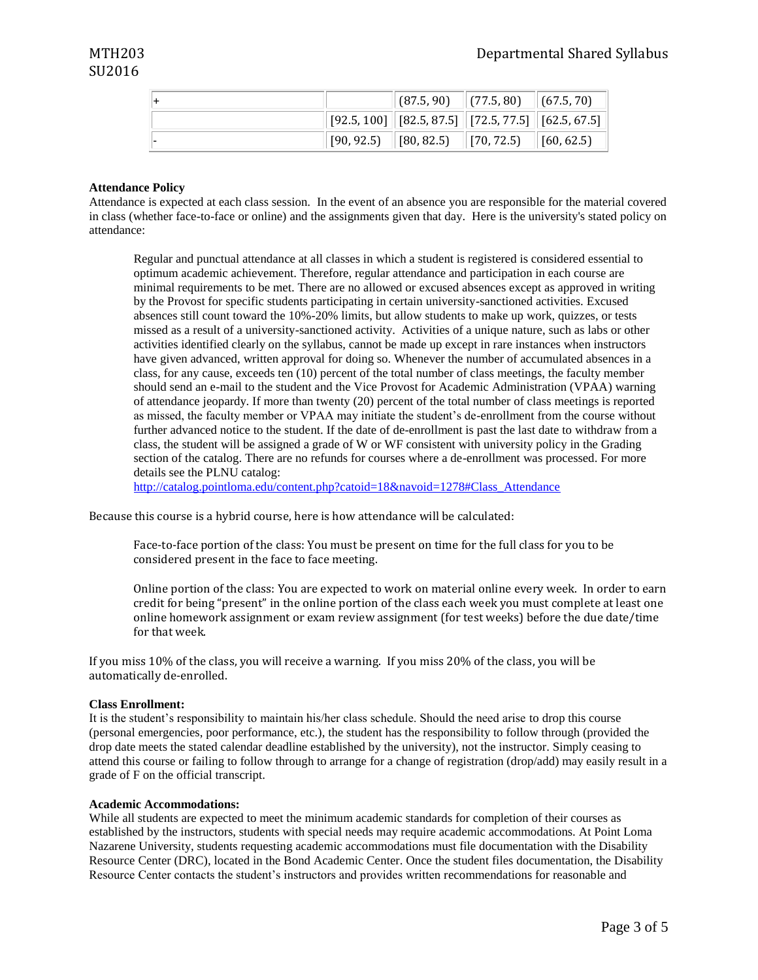|  | $\vert$ (87.5, 90) $\vert$ (77.5, 80) $\vert$ (67.5, 70)                                                                                   |  |
|--|--------------------------------------------------------------------------------------------------------------------------------------------|--|
|  | $\left\  \left[ 92.5, 100 \right] \right\  \left[ 82.5, 87.5 \right] \left\  \left[ 72.5, 77.5 \right] \right\  \left[ 62.5, 67.5 \right]$ |  |
|  | $[90, 92.5]$ $[80, 82.5]$ $[70, 72.5]$ $[60, 62.5]$                                                                                        |  |

# **Attendance Policy**

Attendance is expected at each class session. In the event of an absence you are responsible for the material covered in class (whether face-to-face or online) and the assignments given that day. Here is the university's stated policy on attendance:

Regular and punctual attendance at all classes in which a student is registered is considered essential to optimum academic achievement. Therefore, regular attendance and participation in each course are minimal requirements to be met. There are no allowed or excused absences except as approved in writing by the Provost for specific students participating in certain university-sanctioned activities. Excused absences still count toward the 10%-20% limits, but allow students to make up work, quizzes, or tests missed as a result of a university-sanctioned activity. Activities of a unique nature, such as labs or other activities identified clearly on the syllabus, cannot be made up except in rare instances when instructors have given advanced, written approval for doing so. Whenever the number of accumulated absences in a class, for any cause, exceeds ten (10) percent of the total number of class meetings, the faculty member should send an e-mail to the student and the Vice Provost for Academic Administration (VPAA) warning of attendance jeopardy. If more than twenty (20) percent of the total number of class meetings is reported as missed, the faculty member or VPAA may initiate the student's de-enrollment from the course without further advanced notice to the student. If the date of de-enrollment is past the last date to withdraw from a class, the student will be assigned a grade of W or WF consistent with university policy in the Grading section of the catalog. There are no refunds for courses where a de-enrollment was processed. For more details see the PLNU catalog:

[http://catalog.pointloma.edu/content.php?catoid=18&navoid=1278#Class\\_Attendance](http://catalog.pointloma.edu/content.php?catoid=18&navoid=1278#Class_Attendance)

Because this course is a hybrid course, here is how attendance will be calculated:

Face-to-face portion of the class: You must be present on time for the full class for you to be considered present in the face to face meeting.

Online portion of the class: You are expected to work on material online every week. In order to earn credit for being "present" in the online portion of the class each week you must complete at least one online homework assignment or exam review assignment (for test weeks) before the due date/time for that week.

If you miss 10% of the class, you will receive a warning. If you miss 20% of the class, you will be automatically de-enrolled.

#### **Class Enrollment:**

It is the student's responsibility to maintain his/her class schedule. Should the need arise to drop this course (personal emergencies, poor performance, etc.), the student has the responsibility to follow through (provided the drop date meets the stated calendar deadline established by the university), not the instructor. Simply ceasing to attend this course or failing to follow through to arrange for a change of registration (drop/add) may easily result in a grade of F on the official transcript.

#### **Academic Accommodations:**

While all students are expected to meet the minimum academic standards for completion of their courses as established by the instructors, students with special needs may require academic accommodations. At Point Loma Nazarene University, students requesting academic accommodations must file documentation with the Disability Resource Center (DRC), located in the Bond Academic Center. Once the student files documentation, the Disability Resource Center contacts the student's instructors and provides written recommendations for reasonable and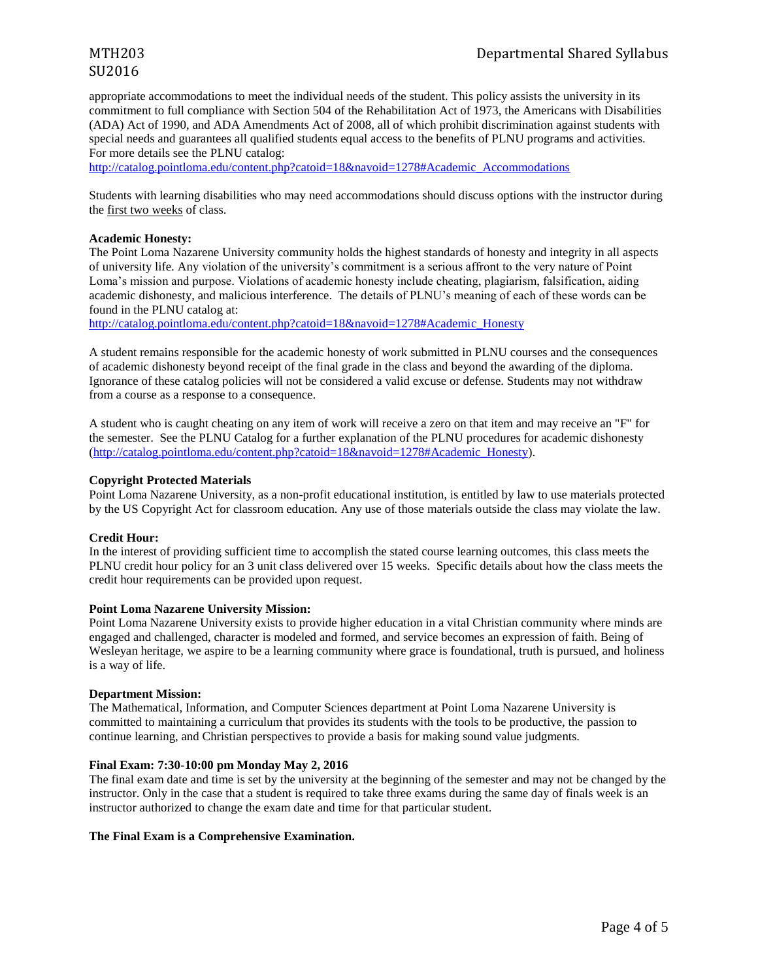# SU2016

appropriate accommodations to meet the individual needs of the student. This policy assists the university in its commitment to full compliance with Section 504 of the Rehabilitation Act of 1973, the Americans with Disabilities (ADA) Act of 1990, and ADA Amendments Act of 2008, all of which prohibit discrimination against students with special needs and guarantees all qualified students equal access to the benefits of PLNU programs and activities. For more details see the PLNU catalog:

http://catalog.pointloma.edu/content.php?catoid=18&navoid=1278#Academic\_Accommodations

Students with learning disabilities who may need accommodations should discuss options with the instructor during the first two weeks of class.

### **Academic Honesty:**

The Point Loma Nazarene University community holds the highest standards of honesty and integrity in all aspects of university life. Any violation of the university's commitment is a serious affront to the very nature of Point Loma's mission and purpose. Violations of academic honesty include cheating, plagiarism, falsification, aiding academic dishonesty, and malicious interference. The details of PLNU's meaning of each of these words can be found in the PLNU catalog at:

[http://catalog.pointloma.edu/content.php?catoid=18&navoid=1278#Academic\\_Honesty](http://catalog.pointloma.edu/content.php?catoid=18&navoid=1278#Academic_Honesty)

A student remains responsible for the academic honesty of work submitted in PLNU courses and the consequences of academic dishonesty beyond receipt of the final grade in the class and beyond the awarding of the diploma. Ignorance of these catalog policies will not be considered a valid excuse or defense. Students may not withdraw from a course as a response to a consequence.

A student who is caught cheating on any item of work will receive a zero on that item and may receive an "F" for the semester. See the PLNU Catalog for a further explanation of the PLNU procedures for academic dishonesty [\(http://catalog.pointloma.edu/content.php?catoid=18&navoid=1278#Academic\\_Honesty\)](http://catalog.pointloma.edu/content.php?catoid=18&navoid=1278#Academic_Honesty).

# **Copyright Protected Materials**

Point Loma Nazarene University, as a non-profit educational institution, is entitled by law to use materials protected by the US Copyright Act for classroom education. Any use of those materials outside the class may violate the law.

# **Credit Hour:**

In the interest of providing sufficient time to accomplish the stated course learning outcomes, this class meets the PLNU credit hour policy for an 3 unit class delivered over 15 weeks. Specific details about how the class meets the credit hour requirements can be provided upon request.

# **Point Loma Nazarene University Mission:**

Point Loma Nazarene University exists to provide higher education in a vital Christian community where minds are engaged and challenged, character is modeled and formed, and service becomes an expression of faith. Being of Wesleyan heritage, we aspire to be a learning community where grace is foundational, truth is pursued, and holiness is a way of life.

# **Department Mission:**

The Mathematical, Information, and Computer Sciences department at Point Loma Nazarene University is committed to maintaining a curriculum that provides its students with the tools to be productive, the passion to continue learning, and Christian perspectives to provide a basis for making sound value judgments.

# **Final Exam: 7:30-10:00 pm Monday May 2, 2016**

The final exam date and time is set by the university at the beginning of the semester and may not be changed by the instructor. Only in the case that a student is required to take three exams during the same day of finals week is an instructor authorized to change the exam date and time for that particular student.

# **The Final Exam is a Comprehensive Examination.**